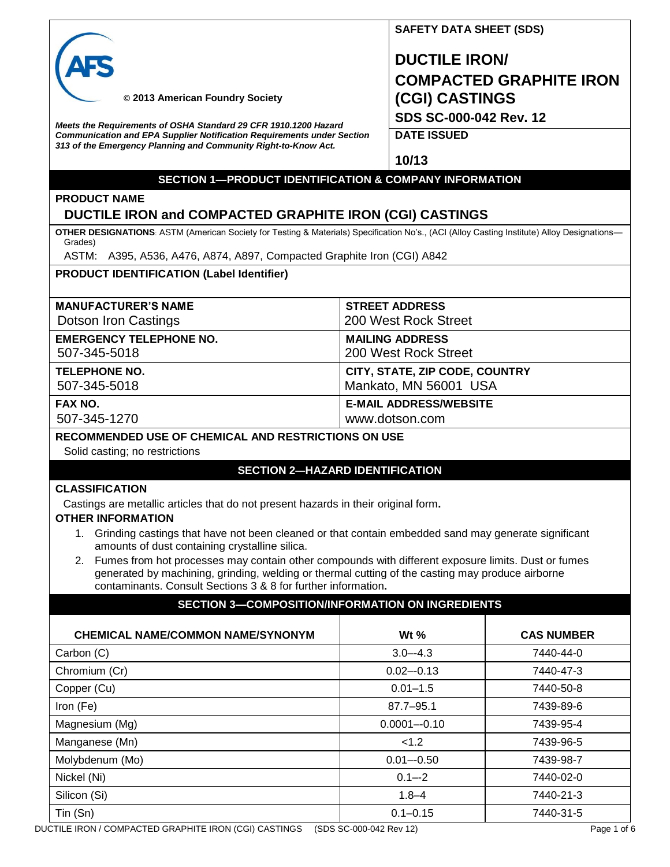

## **SAFETY DATA SHEET (SDS)**

**DUCTILE IRON/ COMPACTED GRAPHITE IRON (CGI) CASTINGS SDS SC-000-042 Rev. 12**

 **© 2013 American Foundry Society**

*Meets the Requirements of OSHA Standard 29 CFR 1910.1200 Hazard Communication and EPA Supplier Notification Requirements under Section 313 of the Emergency Planning and Community Right-to-Know Act.*

**DATE ISSUED**

**10/13**

#### **SECTION 1—PRODUCT IDENTIFICATION & COMPANY INFORMATION**

## **PRODUCT NAME**

### **DUCTILE IRON and COMPACTED GRAPHITE IRON (CGI) CASTINGS**

**OTHER DESIGNATIONS**: ASTM (American Society for Testing & Materials) Specification No's., (ACI (Alloy Casting Institute) Alloy Designations— Grades)

ASTM: A395, A536, A476, A874, A897, Compacted Graphite Iron (CGI) A842

#### **PRODUCT IDENTIFICATION (Label Identifier)**

| <b>STREET ADDRESS</b>          |
|--------------------------------|
| 200 West Rock Street           |
| <b>MAILING ADDRESS</b>         |
| 200 West Rock Street           |
| CITY, STATE, ZIP CODE, COUNTRY |
| Mankato, MN 56001 USA          |
| <b>E-MAIL ADDRESS/WEBSITE</b>  |
| www.dotson.com                 |
|                                |

#### **RECOMMENDED USE OF CHEMICAL AND RESTRICTIONS ON USE**

Solid casting; no restrictions

#### **SECTION 2—HAZARD IDENTIFICATION**

#### **CLASSIFICATION**

Castings are metallic articles that do not present hazards in their original form**.**

#### **OTHER INFORMATION**

- 1. Grinding castings that have not been cleaned or that contain embedded sand may generate significant amounts of dust containing crystalline silica.
- 2. Fumes from hot processes may contain other compounds with different exposure limits. Dust or fumes generated by machining, grinding, welding or thermal cutting of the casting may produce airborne contaminants. Consult Sections 3 & 8 for further information**.**

| <b>SECTION 3-COMPOSITION/INFORMATION ON INGREDIENTS</b> |                 |                   |
|---------------------------------------------------------|-----------------|-------------------|
| <b>CHEMICAL NAME/COMMON NAME/SYNONYM</b>                | Wt $%$          | <b>CAS NUMBER</b> |
| Carbon (C)                                              | $3.0 - 4.3$     | 7440-44-0         |
| Chromium (Cr)                                           | $0.02 - 0.13$   | 7440-47-3         |
| Copper (Cu)                                             | $0.01 - 1.5$    | 7440-50-8         |
| Iron (Fe)                                               | $87.7 - 95.1$   | 7439-89-6         |
| Magnesium (Mg)                                          | $0.0001 - 0.10$ | 7439-95-4         |
| Manganese (Mn)                                          | < 1.2           | 7439-96-5         |
| Molybdenum (Mo)                                         | $0.01 - 0.50$   | 7439-98-7         |
| Nickel (Ni)                                             | $0.1 - 2$       | 7440-02-0         |
| Silicon (Si)                                            | $1.8 - 4$       | 7440-21-3         |
| Tin (Sn)                                                | $0.1 - 0.15$    | 7440-31-5         |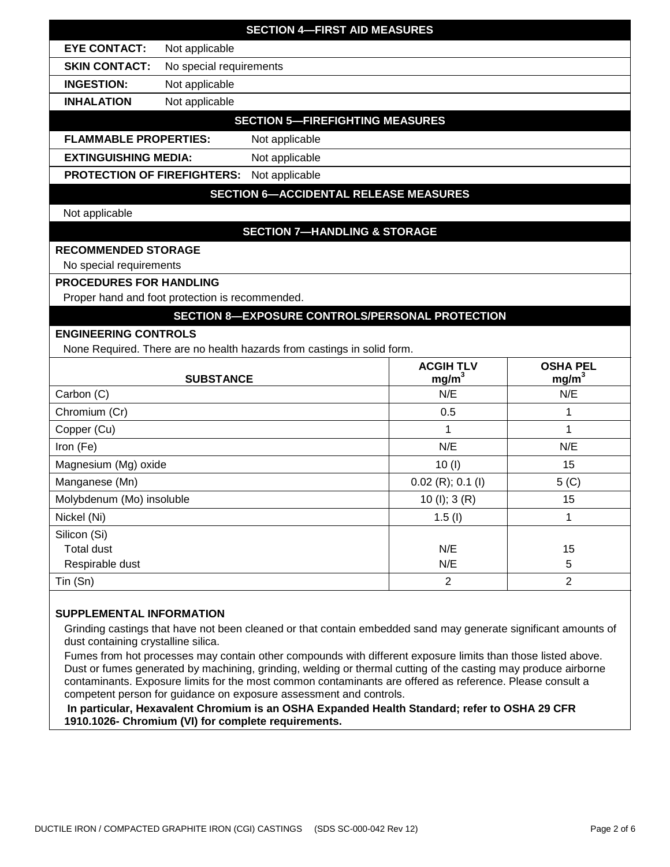|                                                                         | <b>SECTION 4-FIRST AID MEASURES</b>                    |                                       |                                      |
|-------------------------------------------------------------------------|--------------------------------------------------------|---------------------------------------|--------------------------------------|
| <b>EYE CONTACT:</b><br>Not applicable                                   |                                                        |                                       |                                      |
| <b>SKIN CONTACT:</b><br>No special requirements                         |                                                        |                                       |                                      |
| <b>INGESTION:</b><br>Not applicable                                     |                                                        |                                       |                                      |
| Not applicable<br><b>INHALATION</b>                                     |                                                        |                                       |                                      |
|                                                                         | <b>SECTION 5-FIREFIGHTING MEASURES</b>                 |                                       |                                      |
| <b>FLAMMABLE PROPERTIES:</b>                                            | Not applicable                                         |                                       |                                      |
| <b>EXTINGUISHING MEDIA:</b>                                             | Not applicable                                         |                                       |                                      |
| <b>PROTECTION OF FIREFIGHTERS:</b>                                      | Not applicable                                         |                                       |                                      |
|                                                                         | <b>SECTION 6-ACCIDENTAL RELEASE MEASURES</b>           |                                       |                                      |
| Not applicable                                                          |                                                        |                                       |                                      |
|                                                                         | <b>SECTION 7-HANDLING &amp; STORAGE</b>                |                                       |                                      |
| <b>RECOMMENDED STORAGE</b>                                              |                                                        |                                       |                                      |
| No special requirements                                                 |                                                        |                                       |                                      |
| <b>PROCEDURES FOR HANDLING</b>                                          |                                                        |                                       |                                      |
| Proper hand and foot protection is recommended.                         |                                                        |                                       |                                      |
|                                                                         | <b>SECTION 8-EXPOSURE CONTROLS/PERSONAL PROTECTION</b> |                                       |                                      |
|                                                                         |                                                        |                                       |                                      |
| <b>ENGINEERING CONTROLS</b>                                             |                                                        |                                       |                                      |
| None Required. There are no health hazards from castings in solid form. |                                                        |                                       |                                      |
| <b>SUBSTANCE</b>                                                        |                                                        | <b>ACGIH TLV</b><br>mg/m <sup>3</sup> | <b>OSHA PEL</b><br>mg/m <sup>3</sup> |
| Carbon (C)                                                              |                                                        | N/E                                   | N/E                                  |
| Chromium (Cr)                                                           |                                                        | 0.5                                   | 1                                    |
| Copper (Cu)                                                             |                                                        | 1                                     | 1                                    |
| Iron (Fe)                                                               |                                                        | N/E                                   | N/E                                  |
| Magnesium (Mg) oxide                                                    |                                                        | 10(1)                                 | 15                                   |
| Manganese (Mn)                                                          |                                                        | $0.02$ (R); 0.1 (I)                   | $5($ C $)$                           |
| Molybdenum (Mo) insoluble                                               |                                                        | 10 $(l)$ ; 3 $(R)$                    | 15                                   |
| Nickel (Ni)                                                             |                                                        | 1.5(l)                                | 1                                    |
| Silicon (Si)                                                            |                                                        |                                       |                                      |
| <b>Total dust</b>                                                       |                                                        | N/E                                   | 15                                   |
| Respirable dust<br>Tin (Sn)                                             |                                                        | N/E<br>$\overline{2}$                 | 5<br>$\overline{2}$                  |

#### **SUPPLEMENTAL INFORMATION**

Grinding castings that have not been cleaned or that contain embedded sand may generate significant amounts of dust containing crystalline silica.

Fumes from hot processes may contain other compounds with different exposure limits than those listed above. Dust or fumes generated by machining, grinding, welding or thermal cutting of the casting may produce airborne contaminants. Exposure limits for the most common contaminants are offered as reference. Please consult a competent person for guidance on exposure assessment and controls.

**In particular, Hexavalent Chromium is an OSHA Expanded Health Standard; refer to OSHA 29 CFR 1910.1026- Chromium (VI) for complete requirements.**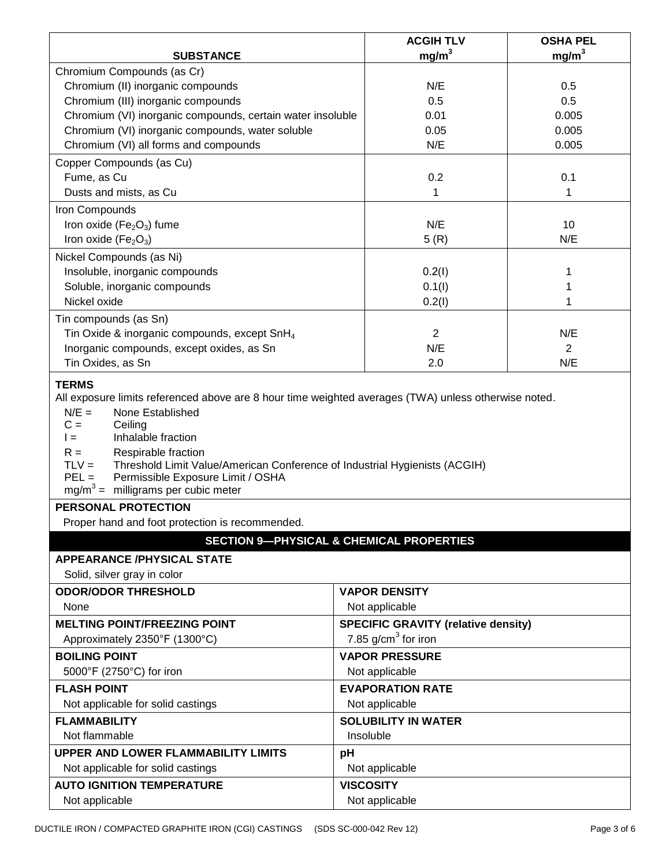|                                                                                                                                                                                                                                                                                                                                                                                                                                                                                    | <b>ACGIH TLV</b>                                    | <b>OSHA PEL</b>   |
|------------------------------------------------------------------------------------------------------------------------------------------------------------------------------------------------------------------------------------------------------------------------------------------------------------------------------------------------------------------------------------------------------------------------------------------------------------------------------------|-----------------------------------------------------|-------------------|
| <b>SUBSTANCE</b>                                                                                                                                                                                                                                                                                                                                                                                                                                                                   | mg/m <sup>3</sup>                                   | mg/m <sup>3</sup> |
| Chromium Compounds (as Cr)                                                                                                                                                                                                                                                                                                                                                                                                                                                         |                                                     |                   |
| Chromium (II) inorganic compounds                                                                                                                                                                                                                                                                                                                                                                                                                                                  | N/E                                                 | 0.5               |
| Chromium (III) inorganic compounds                                                                                                                                                                                                                                                                                                                                                                                                                                                 | 0.5                                                 | 0.5               |
| Chromium (VI) inorganic compounds, certain water insoluble                                                                                                                                                                                                                                                                                                                                                                                                                         | 0.01                                                | 0.005             |
| Chromium (VI) inorganic compounds, water soluble                                                                                                                                                                                                                                                                                                                                                                                                                                   | 0.05                                                | 0.005             |
| Chromium (VI) all forms and compounds                                                                                                                                                                                                                                                                                                                                                                                                                                              | N/E                                                 | 0.005             |
| Copper Compounds (as Cu)                                                                                                                                                                                                                                                                                                                                                                                                                                                           |                                                     |                   |
| Fume, as Cu                                                                                                                                                                                                                                                                                                                                                                                                                                                                        | 0.2                                                 | 0.1               |
| Dusts and mists, as Cu                                                                                                                                                                                                                                                                                                                                                                                                                                                             | 1                                                   | 1                 |
| Iron Compounds                                                                                                                                                                                                                                                                                                                                                                                                                                                                     |                                                     |                   |
| Iron oxide ( $Fe2O3$ ) fume                                                                                                                                                                                                                                                                                                                                                                                                                                                        | N/E                                                 | 10                |
| Iron oxide (Fe <sub>2</sub> O <sub>3</sub> )                                                                                                                                                                                                                                                                                                                                                                                                                                       | 5(R)                                                | N/E               |
| Nickel Compounds (as Ni)                                                                                                                                                                                                                                                                                                                                                                                                                                                           |                                                     |                   |
| Insoluble, inorganic compounds                                                                                                                                                                                                                                                                                                                                                                                                                                                     | 0.2(1)                                              | 1                 |
| Soluble, inorganic compounds                                                                                                                                                                                                                                                                                                                                                                                                                                                       | 0.1(1)                                              | 1                 |
| Nickel oxide                                                                                                                                                                                                                                                                                                                                                                                                                                                                       | 0.2(1)                                              | 1                 |
| Tin compounds (as Sn)                                                                                                                                                                                                                                                                                                                                                                                                                                                              |                                                     |                   |
| Tin Oxide & inorganic compounds, except SnH <sub>4</sub>                                                                                                                                                                                                                                                                                                                                                                                                                           | $\overline{2}$                                      | N/E               |
| Inorganic compounds, except oxides, as Sn                                                                                                                                                                                                                                                                                                                                                                                                                                          | N/E                                                 | 2                 |
| Tin Oxides, as Sn                                                                                                                                                                                                                                                                                                                                                                                                                                                                  | 2.0                                                 | N/E               |
| All exposure limits referenced above are 8 hour time weighted averages (TWA) unless otherwise noted.<br>$N/E =$<br>None Established<br>$C =$<br>Ceiling<br>Inhalable fraction<br>$l =$<br>Respirable fraction<br>$R =$<br>$TLV =$<br>Threshold Limit Value/American Conference of Industrial Hygienists (ACGIH)<br>$PEL =$<br>Permissible Exposure Limit / OSHA<br>$mg/m^3$ = milligrams per cubic meter<br>PERSONAL PROTECTION<br>Proper hand and foot protection is recommended. |                                                     |                   |
|                                                                                                                                                                                                                                                                                                                                                                                                                                                                                    | <b>SECTION 9-PHYSICAL &amp; CHEMICAL PROPERTIES</b> |                   |
| <b>APPEARANCE /PHYSICAL STATE</b>                                                                                                                                                                                                                                                                                                                                                                                                                                                  |                                                     |                   |
| Solid, silver gray in color                                                                                                                                                                                                                                                                                                                                                                                                                                                        |                                                     |                   |
| <b>ODOR/ODOR THRESHOLD</b>                                                                                                                                                                                                                                                                                                                                                                                                                                                         | <b>VAPOR DENSITY</b>                                |                   |
| None                                                                                                                                                                                                                                                                                                                                                                                                                                                                               | Not applicable                                      |                   |
| <b>MELTING POINT/FREEZING POINT</b>                                                                                                                                                                                                                                                                                                                                                                                                                                                | <b>SPECIFIC GRAVITY (relative density)</b>          |                   |
| Approximately 2350°F (1300°C)                                                                                                                                                                                                                                                                                                                                                                                                                                                      | 7.85 $g/cm3$ for iron                               |                   |
| <b>BOILING POINT</b>                                                                                                                                                                                                                                                                                                                                                                                                                                                               | <b>VAPOR PRESSURE</b>                               |                   |
| 5000°F (2750°C) for iron                                                                                                                                                                                                                                                                                                                                                                                                                                                           | Not applicable                                      |                   |
| <b>FLASH POINT</b>                                                                                                                                                                                                                                                                                                                                                                                                                                                                 | <b>EVAPORATION RATE</b>                             |                   |
| Not applicable for solid castings                                                                                                                                                                                                                                                                                                                                                                                                                                                  | Not applicable                                      |                   |
| <b>FLAMMABILITY</b>                                                                                                                                                                                                                                                                                                                                                                                                                                                                | <b>SOLUBILITY IN WATER</b>                          |                   |
| Not flammable                                                                                                                                                                                                                                                                                                                                                                                                                                                                      | Insoluble                                           |                   |
| <b>UPPER AND LOWER FLAMMABILITY LIMITS</b>                                                                                                                                                                                                                                                                                                                                                                                                                                         | pH                                                  |                   |
| Not applicable for solid castings                                                                                                                                                                                                                                                                                                                                                                                                                                                  | Not applicable                                      |                   |
| <b>AUTO IGNITION TEMPERATURE</b>                                                                                                                                                                                                                                                                                                                                                                                                                                                   | <b>VISCOSITY</b>                                    |                   |
| Not applicable                                                                                                                                                                                                                                                                                                                                                                                                                                                                     | Not applicable                                      |                   |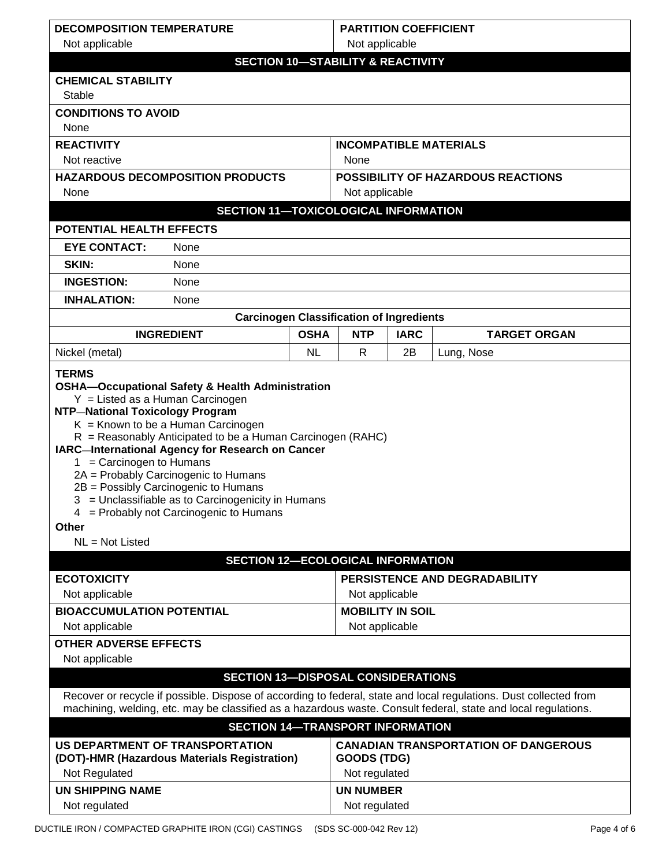| <b>DECOMPOSITION TEMPERATURE</b>                                                                                                                                                                                                                                                                                                                                                                                             | <b>PARTITION COEFFICIENT</b> |                         |             |                                             |
|------------------------------------------------------------------------------------------------------------------------------------------------------------------------------------------------------------------------------------------------------------------------------------------------------------------------------------------------------------------------------------------------------------------------------|------------------------------|-------------------------|-------------|---------------------------------------------|
| Not applicable                                                                                                                                                                                                                                                                                                                                                                                                               |                              | Not applicable          |             |                                             |
| <b>SECTION 10-STABILITY &amp; REACTIVITY</b>                                                                                                                                                                                                                                                                                                                                                                                 |                              |                         |             |                                             |
| <b>CHEMICAL STABILITY</b>                                                                                                                                                                                                                                                                                                                                                                                                    |                              |                         |             |                                             |
| Stable                                                                                                                                                                                                                                                                                                                                                                                                                       |                              |                         |             |                                             |
| <b>CONDITIONS TO AVOID</b>                                                                                                                                                                                                                                                                                                                                                                                                   |                              |                         |             |                                             |
| None                                                                                                                                                                                                                                                                                                                                                                                                                         |                              |                         |             |                                             |
| <b>REACTIVITY</b><br><b>INCOMPATIBLE MATERIALS</b>                                                                                                                                                                                                                                                                                                                                                                           |                              |                         |             |                                             |
| Not reactive<br>None                                                                                                                                                                                                                                                                                                                                                                                                         |                              |                         |             |                                             |
| <b>HAZARDOUS DECOMPOSITION PRODUCTS</b><br><b>POSSIBILITY OF HAZARDOUS REACTIONS</b>                                                                                                                                                                                                                                                                                                                                         |                              |                         |             |                                             |
| None                                                                                                                                                                                                                                                                                                                                                                                                                         |                              | Not applicable          |             |                                             |
| <b>SECTION 11-TOXICOLOGICAL INFORMATION</b>                                                                                                                                                                                                                                                                                                                                                                                  |                              |                         |             |                                             |
| POTENTIAL HEALTH EFFECTS                                                                                                                                                                                                                                                                                                                                                                                                     |                              |                         |             |                                             |
| <b>EYE CONTACT:</b><br>None                                                                                                                                                                                                                                                                                                                                                                                                  |                              |                         |             |                                             |
| SKIN:<br>None                                                                                                                                                                                                                                                                                                                                                                                                                |                              |                         |             |                                             |
| <b>INGESTION:</b><br>None                                                                                                                                                                                                                                                                                                                                                                                                    |                              |                         |             |                                             |
| <b>INHALATION:</b><br>None                                                                                                                                                                                                                                                                                                                                                                                                   |                              |                         |             |                                             |
| <b>Carcinogen Classification of Ingredients</b>                                                                                                                                                                                                                                                                                                                                                                              |                              |                         |             |                                             |
| <b>OSHA</b><br><b>INGREDIENT</b>                                                                                                                                                                                                                                                                                                                                                                                             |                              | <b>NTP</b>              | <b>IARC</b> | <b>TARGET ORGAN</b>                         |
| Nickel (metal)<br><b>NL</b>                                                                                                                                                                                                                                                                                                                                                                                                  |                              | R                       | 2B          | Lung, Nose                                  |
| <b>NTP-National Toxicology Program</b><br>$K =$ Known to be a Human Carcinogen<br>$R =$ Reasonably Anticipated to be a Human Carcinogen (RAHC)<br>IARC-International Agency for Research on Cancer<br>= Carcinogen to Humans<br>1.<br>2A = Probably Carcinogenic to Humans<br>2B = Possibly Carcinogenic to Humans<br>3 = Unclassifiable as to Carcinogenicity in Humans<br>4 = Probably not Carcinogenic to Humans<br>Other |                              |                         |             |                                             |
| $NL = Not$ Listed                                                                                                                                                                                                                                                                                                                                                                                                            |                              |                         |             |                                             |
| <b>SECTION 12-ECOLOGICAL INFORMATION</b>                                                                                                                                                                                                                                                                                                                                                                                     |                              |                         |             |                                             |
| <b>ECOTOXICITY</b>                                                                                                                                                                                                                                                                                                                                                                                                           |                              |                         |             | PERSISTENCE AND DEGRADABILITY               |
| Not applicable                                                                                                                                                                                                                                                                                                                                                                                                               |                              | Not applicable          |             |                                             |
| <b>BIOACCUMULATION POTENTIAL</b>                                                                                                                                                                                                                                                                                                                                                                                             |                              | <b>MOBILITY IN SOIL</b> |             |                                             |
| Not applicable<br>Not applicable                                                                                                                                                                                                                                                                                                                                                                                             |                              |                         |             |                                             |
| <b>OTHER ADVERSE EFFECTS</b>                                                                                                                                                                                                                                                                                                                                                                                                 |                              |                         |             |                                             |
| Not applicable                                                                                                                                                                                                                                                                                                                                                                                                               |                              |                         |             |                                             |
| <b>SECTION 13-DISPOSAL CONSIDERATIONS</b><br>Recover or recycle if possible. Dispose of according to federal, state and local regulations. Dust collected from<br>machining, welding, etc. may be classified as a hazardous waste. Consult federal, state and local regulations.<br><b>SECTION 14-TRANSPORT INFORMATION</b>                                                                                                  |                              |                         |             |                                             |
| US DEPARTMENT OF TRANSPORTATION                                                                                                                                                                                                                                                                                                                                                                                              |                              |                         |             | <b>CANADIAN TRANSPORTATION OF DANGEROUS</b> |
| (DOT)-HMR (Hazardous Materials Registration)<br><b>GOODS (TDG)</b>                                                                                                                                                                                                                                                                                                                                                           |                              |                         |             |                                             |
| Not Regulated<br>Not regulated                                                                                                                                                                                                                                                                                                                                                                                               |                              |                         |             |                                             |
| <b>UN SHIPPING NAME</b>                                                                                                                                                                                                                                                                                                                                                                                                      | <b>UN NUMBER</b>             |                         |             |                                             |
| Not regulated                                                                                                                                                                                                                                                                                                                                                                                                                |                              | Not regulated           |             |                                             |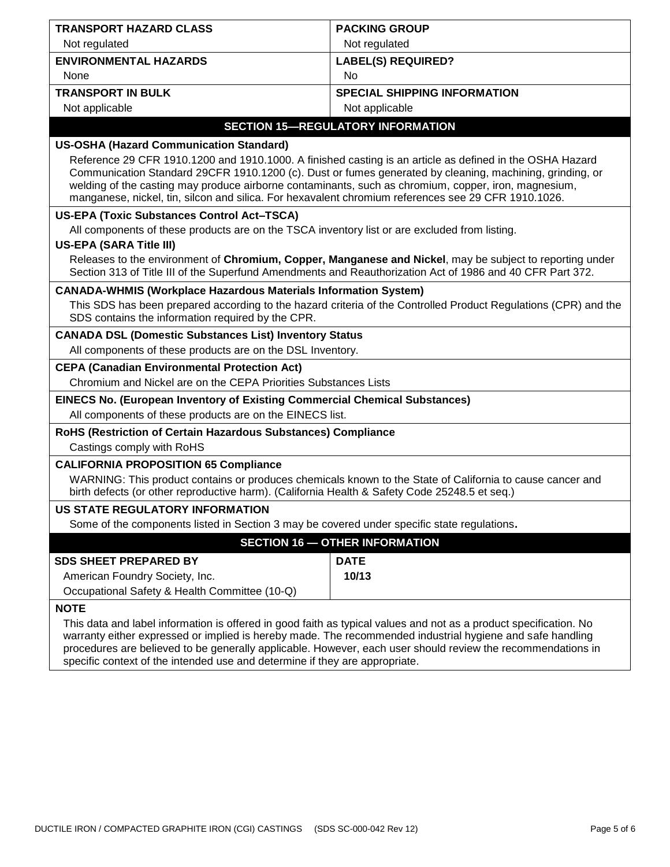| <b>TRANSPORT HAZARD CLASS</b>                                                                                                                                                                                                                                                                                                                                                                                                       | <b>PACKING GROUP</b>                     |  |
|-------------------------------------------------------------------------------------------------------------------------------------------------------------------------------------------------------------------------------------------------------------------------------------------------------------------------------------------------------------------------------------------------------------------------------------|------------------------------------------|--|
| Not regulated                                                                                                                                                                                                                                                                                                                                                                                                                       | Not regulated                            |  |
| <b>ENVIRONMENTAL HAZARDS</b>                                                                                                                                                                                                                                                                                                                                                                                                        | <b>LABEL(S) REQUIRED?</b>                |  |
| None                                                                                                                                                                                                                                                                                                                                                                                                                                | <b>No</b>                                |  |
| <b>TRANSPORT IN BULK</b>                                                                                                                                                                                                                                                                                                                                                                                                            | <b>SPECIAL SHIPPING INFORMATION</b>      |  |
| Not applicable                                                                                                                                                                                                                                                                                                                                                                                                                      | Not applicable                           |  |
|                                                                                                                                                                                                                                                                                                                                                                                                                                     | <b>SECTION 15-REGULATORY INFORMATION</b> |  |
| <b>US-OSHA (Hazard Communication Standard)</b>                                                                                                                                                                                                                                                                                                                                                                                      |                                          |  |
| Reference 29 CFR 1910.1200 and 1910.1000. A finished casting is an article as defined in the OSHA Hazard<br>Communication Standard 29CFR 1910.1200 (c). Dust or fumes generated by cleaning, machining, grinding, or<br>welding of the casting may produce airborne contaminants, such as chromium, copper, iron, magnesium,<br>manganese, nickel, tin, silcon and silica. For hexavalent chromium references see 29 CFR 1910.1026. |                                          |  |
| <b>US-EPA (Toxic Substances Control Act-TSCA)</b>                                                                                                                                                                                                                                                                                                                                                                                   |                                          |  |
| All components of these products are on the TSCA inventory list or are excluded from listing.<br><b>US-EPA (SARA Title III)</b>                                                                                                                                                                                                                                                                                                     |                                          |  |
| Releases to the environment of Chromium, Copper, Manganese and Nickel, may be subject to reporting under<br>Section 313 of Title III of the Superfund Amendments and Reauthorization Act of 1986 and 40 CFR Part 372.                                                                                                                                                                                                               |                                          |  |
| <b>CANADA-WHMIS (Workplace Hazardous Materials Information System)</b>                                                                                                                                                                                                                                                                                                                                                              |                                          |  |
| This SDS has been prepared according to the hazard criteria of the Controlled Product Regulations (CPR) and the<br>SDS contains the information required by the CPR.                                                                                                                                                                                                                                                                |                                          |  |
| <b>CANADA DSL (Domestic Substances List) Inventory Status</b>                                                                                                                                                                                                                                                                                                                                                                       |                                          |  |
| All components of these products are on the DSL Inventory.                                                                                                                                                                                                                                                                                                                                                                          |                                          |  |
| <b>CEPA (Canadian Environmental Protection Act)</b>                                                                                                                                                                                                                                                                                                                                                                                 |                                          |  |
| Chromium and Nickel are on the CEPA Priorities Substances Lists                                                                                                                                                                                                                                                                                                                                                                     |                                          |  |
| <b>EINECS No. (European Inventory of Existing Commercial Chemical Substances)</b><br>All components of these products are on the EINECS list.                                                                                                                                                                                                                                                                                       |                                          |  |
| RoHS (Restriction of Certain Hazardous Substances) Compliance                                                                                                                                                                                                                                                                                                                                                                       |                                          |  |
| Castings comply with RoHS                                                                                                                                                                                                                                                                                                                                                                                                           |                                          |  |
| <b>CALIFORNIA PROPOSITION 65 Compliance</b><br>WARNING: This product contains or produces chemicals known to the State of California to cause cancer and<br>birth defects (or other reproductive harm). (California Health & Safety Code 25248.5 et seq.)                                                                                                                                                                           |                                          |  |
| US STATE REGULATORY INFORMATION                                                                                                                                                                                                                                                                                                                                                                                                     |                                          |  |
| Some of the components listed in Section 3 may be covered under specific state regulations.                                                                                                                                                                                                                                                                                                                                         |                                          |  |
| <b>SECTION 16 - OTHER INFORMATION</b>                                                                                                                                                                                                                                                                                                                                                                                               |                                          |  |
| <b>SDS SHEET PREPARED BY</b>                                                                                                                                                                                                                                                                                                                                                                                                        | <b>DATE</b>                              |  |
| American Foundry Society, Inc.                                                                                                                                                                                                                                                                                                                                                                                                      | 10/13                                    |  |
| Occupational Safety & Health Committee (10-Q)                                                                                                                                                                                                                                                                                                                                                                                       |                                          |  |
| <b>NOTE</b><br>This data and label information is offered in good faith as typical values and not as a product specification. No<br>warranty either expressed or implied is hereby made. The recommended industrial hygiene and safe handling                                                                                                                                                                                       |                                          |  |

procedures are believed to be generally applicable. However, each user should review the recommendations in specific context of the intended use and determine if they are appropriate.